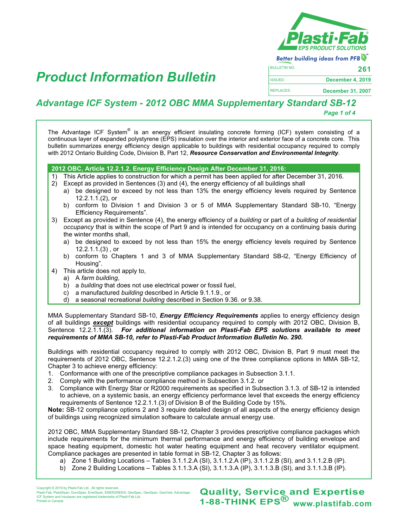

**Better building ideas from PFB** 

| <b>BULLETIN NO.</b> | 261                      |
|---------------------|--------------------------|
| <b>ISSUED:</b>      | December 4, 2019         |
| <b>REPLACES:</b>    | <b>December 31, 2007</b> |

# **<sup>261</sup>** *Product Information Bulletin*

## *Advantage ICF System - 2012 OBC MMA Supplementary Standard SB-12*

*Page 1 of 4*

The Advantage ICF System<sup>®</sup> is an energy efficient insulating concrete forming (ICF) system consisting of a continuous layer of expanded polystyrene (EPS) insulation over the interior and exterior face of a concrete core. This bulletin summarizes energy efficiency design applicable to buildings with residential occupancy required to comply with 2012 Ontario Building Code, Division B, Part 12, *Resource Conservation and Environmental Integrity*.

### **2012 OBC, Article 12.2.1.2. Energy Efficiency Design After December 31, 2016:**

1) This Article applies to construction for which a permit has been applied for after December 31, 2016.

- 2) Except as provided in Sentences (3) and (4), the energy efficiency of all buildings shall
	- a) be designed to exceed by not less than 13% the energy efficiency levels required by Sentence 12.2.1.1.(2), or
	- b) conform to Division 1 and Division 3 or 5 of MMA Supplementary Standard SB-10, "Energy Efficiency Requirements".
- 3) Except as provided in Sentence (4), the energy efficiency of a *building* or part of a *building of residential occupancy* that is within the scope of Part 9 and is intended for occupancy on a continuing basis during the winter months shall,
	- a) be designed to exceed by not less than 15% the energy efficiency levels required by Sentence 12.2.1.1.(3) , or
	- b) conform to Chapters 1 and 3 of MMA Supplementary Standard SB-l2, "Energy Efficiency of Housing".
- 4) This article does not apply to,
	- a) A *farm building*,
	- b) a *building* that does not use electrical power or fossil fuel,
	- c) a manufactured *building* described in Article 9.1.1.9., or
	- d) a seasonal recreational *building* described in Section 9.36. or 9.38.

MMA Supplementary Standard SB-10, *Energy Efficiency Requirements* applies to energy efficiency design of all buildings *except* buildings with residential occupancy required to comply with 2012 OBC, Division B, Sentence 12.2.1.1.(3). *For additional information on Plasti-Fab EPS solutions available to meet requirements of MMA SB-10, refer to Plasti-Fab Product Information Bulletin No. 290.*

Buildings with residential occupancy required to comply with 2012 OBC, Division B, Part 9 must meet the requirements of 2012 OBC, Sentence 12.2.1.2.(3) using one of the three compliance options in MMA SB-12, Chapter 3 to achieve energy efficiency:

- 1. Conformance with one of the prescriptive compliance packages in Subsection 3.1.1.
- 2. Comply with the performance compliance method in Subsection 3.1.2. or
- 3. Compliance with Energy Star or R2000 requirements as specified in Subsection 3.1.3. of SB-12 is intended to achieve, on a systemic basis, an energy efficiency performance level that exceeds the energy efficiency requirements of Sentence 12.2.1.1.(3) of Division B of the Building Code by 15%.

**Note:** SB-12 compliance options 2 and 3 require detailed design of all aspects of the energy efficiency design of buildings using recognized simulation software to calculate annual energy use.

2012 OBC, MMA Supplementary Standard SB-12, Chapter 3 provides prescriptive compliance packages which include requirements for the minimum thermal performance and energy efficiency of building envelope and space heating equipment, domestic hot water heating equipment and heat recovery ventilator equipment. Compliance packages are presented in table format in SB-12, Chapter 3 as follows:

- a) Zone 1 Building Locations Tables 3.1.1.2.A (SI), 3.1.1.2.A (IP), 3.1.1.2.B (SI), and 3.1.1.2.B (IP).
- b) Zone 2 Building Locations Tables 3.1.1.3.A (SI), 3.1.1.3.A (IP), 3.1.1.3.B (SI), and 3.1.1.3.B (IP).

pht © 2019 by Plasti-Fab Ltd. All rights re yrignt © 2019 by Plasti-Fab Ltd. Ail rignts reserved.<br>ti-Fab, PlastiSpan, DuroSpan, EnerSpan, ENERGREEN, GeoSpec, GeoSpan, GeoVoid, Advantage ICF System and Insulspan are registered trademarks of Plasti-Fab Ltd. Printed in Canada

**Quality, Service and Expertise<br>1-88-THINK EPS<sup>®</sup> www.plastifab.com**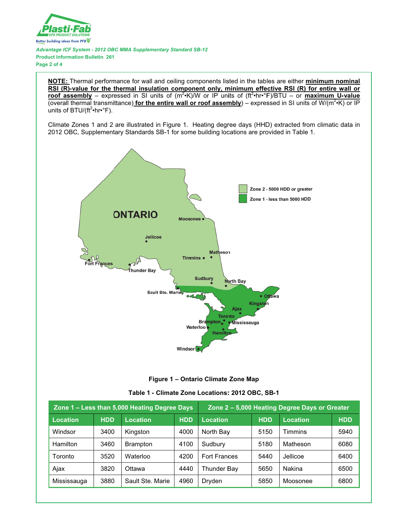

Advantage ICF System - 2012 OBC MMA Supplementary Standard SB-12 **Product Information Bulletin 261** Page 2 of 4

NOTE: Thermal performance for wall and ceiling components listed in the tables are either minimum nominal RSI (R)-value for the thermal insulation component only, minimum effective RSI (R) for entire wall or roof assembly – expressed in SI units of  $(m^2 K)/W$  or IP units of  $(H^2 \cdot hr \cdot F)/B T U -$  or maximum U-value (overall thermal transmittance) for the entire wall or roof assembly) – expressed in SI units of W/( $m^2$ ·K) or IP units of BTU/(ft<sup>2</sup>•hr•°F).

Climate Zones 1 and 2 are illustrated in Figure 1. Heating degree days (HHD) extracted from climatic data in 2012 OBC, Supplementary Standards SB-1 for some building locations are provided in Table 1.





|  | Table 1 - Climate Zone Locations: 2012 OBC, SB-1 |  |  |  |  |
|--|--------------------------------------------------|--|--|--|--|
|--|--------------------------------------------------|--|--|--|--|

| Zone 1 – Less than 5,000 Heating Degree Days |            | Zone 2 – 5,000 Heating Degree Days or Greater |            |                     |            |          |            |
|----------------------------------------------|------------|-----------------------------------------------|------------|---------------------|------------|----------|------------|
| <b>Location</b>                              | <b>HDD</b> | Location                                      | <b>HDD</b> | <b>Location</b>     | <b>HDD</b> | Location | <b>HDD</b> |
| Windsor                                      | 3400       | Kingston                                      | 4000       | North Bay           | 5150       | Timmins  | 5940       |
| <b>Hamilton</b>                              | 3460       | <b>Brampton</b>                               | 4100       | Sudbury             | 5180       | Matheson | 6080       |
| Toronto                                      | 3520       | Waterloo                                      | 4200       | <b>Fort Frances</b> | 5440       | Jellicoe | 6400       |
| Ajax                                         | 3820       | Ottawa                                        | 4440       | Thunder Bay         | 5650       | Nakina   | 6500       |
| Mississauga                                  | 3880       | Sault Ste, Marie                              | 4960       | Dryden              | 5850       | Moosonee | 6800       |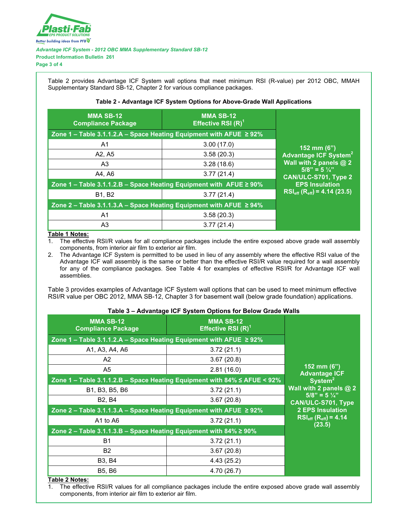

*Advantage ICF System - 2012 OBC MMA Supplementary Standard SB-12* **Product Information Bulletin 261**

**Page 3 of 4**

Table 2 provides Advantage ICF System wall options that meet minimum RSI (R-value) per 2012 OBC, MMAH Supplementary Standard SB-12, Chapter 2 for various compliance packages.

### **Table 2 - Advantage ICF System Options for Above-Grade Wall Applications**

| <b>MMA SB-12</b><br><b>Compliance Package</b>                            | <b>MMA SB-12</b><br>Effective RSI $(R)^1$ |                                                |
|--------------------------------------------------------------------------|-------------------------------------------|------------------------------------------------|
| Zone 1 – Table 3.1.1.2.A – Space Heating Equipment with AFUE $\geq$ 92%  |                                           |                                                |
| A1                                                                       | 3.00(17.0)                                | 152 mm $(6")$                                  |
| A2, A5                                                                   | 3.58(20.3)                                | <b>Advantage ICF System<sup>2</sup></b>        |
| A3                                                                       | 3.28(18.6)                                | Wall with $2$ panels $@$ 2                     |
| A4, A6                                                                   | 3.77(21.4)                                | $5/8" = 5\frac{1}{4}"$<br>CAN/ULC-S701, Type 2 |
| Zone 1 – Table 3.1.1.2.B – Space Heating Equipment with $AFUE \geq 90\%$ | <b>EPS Insulation</b>                     |                                                |
| <b>B1, B2</b>                                                            | 3.77(21.4)                                | $RSI_{eff}$ (R <sub>eff</sub> ) = 4.14 (23.5)  |
| Zone 2 – Table 3.1.1.3.A – Space Heating Equipment with AFUE $\geq$ 94%  |                                           |                                                |
| A1                                                                       | 3.58(20.3)                                |                                                |
| A <sub>3</sub>                                                           | 3.77(21.4)                                |                                                |

## **Table 1 Notes:**<br>1. The effective

The effective RSI/R values for all compliance packages include the entire exposed above grade wall assembly components, from interior air film to exterior air film.

2. The Advantage ICF System is permitted to be used in lieu of any assembly where the effective RSI value of the Advantage ICF wall assembly is the same or better than the effective RSI/R value required for a wall assembly for any of the compliance packages. See Table 4 for examples of effective RSI/R for Advantage ICF wall assemblies.

Table 3 provides examples of Advantage ICF System wall options that can be used to meet minimum effective RSI/R value per OBC 2012, MMA SB-12, Chapter 3 for basement wall (below grade foundation) applications.

### **Table 3 – Advantage ICF System Options for Below Grade Walls**

| rapic of Advantage for Oyotem Options for Before Orado Hans              |                                                                                |                                                     |  |  |  |
|--------------------------------------------------------------------------|--------------------------------------------------------------------------------|-----------------------------------------------------|--|--|--|
| <b>MMA SB-12</b><br><b>Compliance Package</b>                            | <b>MMA SB-12</b><br>Effective RSI $(R)^1$                                      |                                                     |  |  |  |
| Zone 1 – Table 3.1.1.2.A – Space Heating Equipment with AFUE $\geq$ 92%  |                                                                                |                                                     |  |  |  |
| A1, A3, A4, A6                                                           | 3.72(21.1)                                                                     |                                                     |  |  |  |
| A2                                                                       | 3.67(20.8)                                                                     |                                                     |  |  |  |
| A5                                                                       | 2.81(16.0)                                                                     | 152 mm (6")<br><b>Advantage ICF</b>                 |  |  |  |
|                                                                          | Zone 1 - Table 3.1.1.2.B - Space Heating Equipment with $84\% \leq$ AFUE < 92% | System <sup>2</sup>                                 |  |  |  |
| B1, B3, B5, B6                                                           | 3.72(21.1)                                                                     | Wall with 2 panels $@2$                             |  |  |  |
| B <sub>2</sub> , B <sub>4</sub>                                          | 3.67(20.8)                                                                     | $5/8" = 5\frac{1}{4}"$<br><b>CAN/ULC-S701, Type</b> |  |  |  |
| Zone 2 – Table 3.1.1.3.A – Space Heating Equipment with AFUE $\geq$ 92%  |                                                                                | <b>2 EPS Insulation</b>                             |  |  |  |
| A1 to A6                                                                 | 3.72(21.1)                                                                     | $RSI_{eff} (R_{eff}) = 4.14$<br>(23.5)              |  |  |  |
| Zone $2$ – Table 3.1.1.3.B – Space Heating Equipment with 84% $\geq$ 90% |                                                                                |                                                     |  |  |  |
| <b>B1</b>                                                                | 3.72(21.1)                                                                     |                                                     |  |  |  |
| <b>B2</b>                                                                | 3.67(20.8)                                                                     |                                                     |  |  |  |
| <b>B3, B4</b>                                                            | 4.43(25.2)                                                                     |                                                     |  |  |  |
| <b>B5, B6</b>                                                            | 4.70 (26.7)                                                                    |                                                     |  |  |  |

#### **Table 2 Notes:**

1. The effective RSI/R values for all compliance packages include the entire exposed above grade wall assembly components, from interior air film to exterior air film.